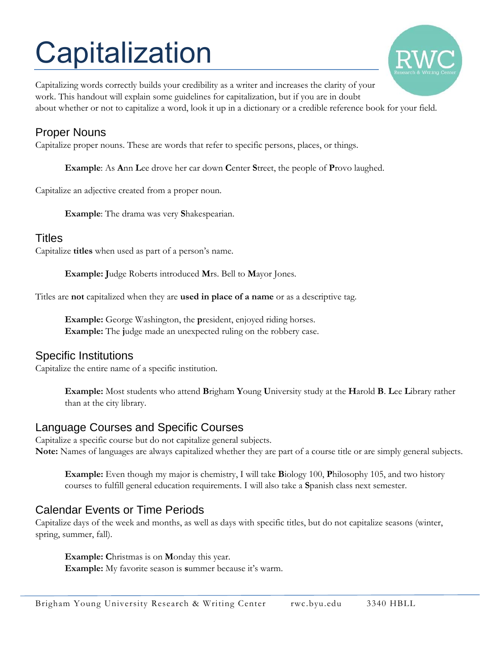# **Capitalization**



Capitalizing words correctly builds your credibility as a writer and increases the clarity of your work. This handout will explain some guidelines for capitalization, but if you are in doubt about whether or not to capitalize a word, look it up in a dictionary or a credible reference book for your field.

## Proper Nouns

Capitalize proper nouns. These are words that refer to specific persons, places, or things.

**Example**: As **A**nn **L**ee drove her car down **C**enter **S**treet, the people of **P**rovo laughed.

Capitalize an adjective created from a proper noun.

**Example**: The drama was very **S**hakespearian.

## Titles

Capitalize **titles** when used as part of a person's name.

**Example: J**udge Roberts introduced **M**rs. Bell to **M**ayor Jones.

Titles are **not** capitalized when they are **used in place of a name** or as a descriptive tag.

**Example:** George Washington, the **p**resident, enjoyed riding horses. **Example:** The **j**udge made an unexpected ruling on the robbery case.

## Specific Institutions

Capitalize the entire name of a specific institution.

**Example:** Most students who attend **B**righam **Y**oung **U**niversity study at the **H**arold **B**. **L**ee **L**ibrary rather than at the city library.

## Language Courses and Specific Courses

Capitalize a specific course but do not capitalize general subjects. **Note:** Names of languages are always capitalized whether they are part of a course title or are simply general subjects.

**Example:** Even though my major is chemistry, I will take **B**iology 100, **P**hilosophy 105, and two history courses to fulfill general education requirements. I will also take a **S**panish class next semester.

## Calendar Events or Time Periods

Capitalize days of the week and months, as well as days with specific titles, but do not capitalize seasons (winter, spring, summer, fall).

**Example: C**hristmas is on **M**onday this year.

**Example:** My favorite season is **s**ummer because it's warm.